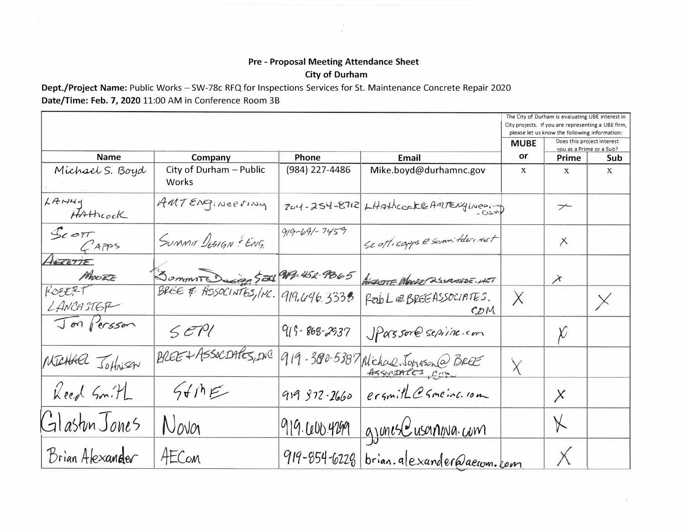## Pre - Proposal Meeting Attendance Sheet **City of Durham**

Dept./Project Name: Public Works - SW-78c RFQ for Inspections Services for St. Maintenance Concrete Repair 2020 Date/Time: Feb. 7, 2020 11:00 AM in Conference Room 3B

|                             |                                  |                    |                                         | The City of Durham is evaluating UBE interest in<br>City projects. If you are representing a UBE firm,<br>please let us know the following information: |                                                        |              |
|-----------------------------|----------------------------------|--------------------|-----------------------------------------|---------------------------------------------------------------------------------------------------------------------------------------------------------|--------------------------------------------------------|--------------|
|                             |                                  |                    |                                         | <b>MUBE</b>                                                                                                                                             | Does this project interest<br>you as a Prime or a Sub? |              |
| <b>Name</b>                 | Company                          | Phone              | <b>Email</b>                            | or                                                                                                                                                      | Prime                                                  | Sub          |
| Michael S. Boyd             | City of Durham - Public<br>Works | (984) 227-4486     | Mike.boyd@durhamnc.gov                  | X                                                                                                                                                       | X                                                      | $\mathbf{x}$ |
| $L$ $R$ $N$ $4$<br>HAthcock | AMTENGINEEVING                   |                    | 204-254-8712 Litathcock@AMTENGINeer     |                                                                                                                                                         | $\overline{\phantom{a}}$                               |              |
| $S$ COTT<br>$C'$ Apps       | SUMMA DISIGN - ENG               | $919 - 691 - 7459$ | Le ott. capps e summitde, NET           |                                                                                                                                                         | $\times$                                               |              |
| ALTETIE                     |                                  |                    |                                         |                                                                                                                                                         |                                                        |              |
| MOORE                       | Sommit Dign 500                  | 919-452-9865       | AVERSITE MOORE 252MANDE. ULT            |                                                                                                                                                         | $\chi$                                                 |              |
| FOEEF<br>LANCHSTER          |                                  | 919.496.3338       | PODL@BREEASSOCIATES.<br>CDM             | $\overline{\chi}$                                                                                                                                       |                                                        | $\times$     |
| Jon Persson                 | 5EPI                             | $915 - 868 - 2937$ | Spassore sepine.com                     |                                                                                                                                                         | $\chi$                                                 |              |
| MICHAEL Jothesen            | BREE+ASSOCDARS, DIC              |                    | 919-300-5387 Nichae, Johnson @ BREE     |                                                                                                                                                         |                                                        |              |
| Reed Smith                  | 56/15                            | 919372.2660        | ergnith@ Smeinc. 10m                    |                                                                                                                                                         | $\times$                                               |              |
| Glaston Jones               | Nova                             | 919.600.4299       | <u>gjones Cusanova com</u>              |                                                                                                                                                         | $\forall$                                              |              |
| Brian Alexander             | AECOM                            |                    | 919-854-6228 brian. alexander@aecom.com |                                                                                                                                                         | $\times$                                               |              |